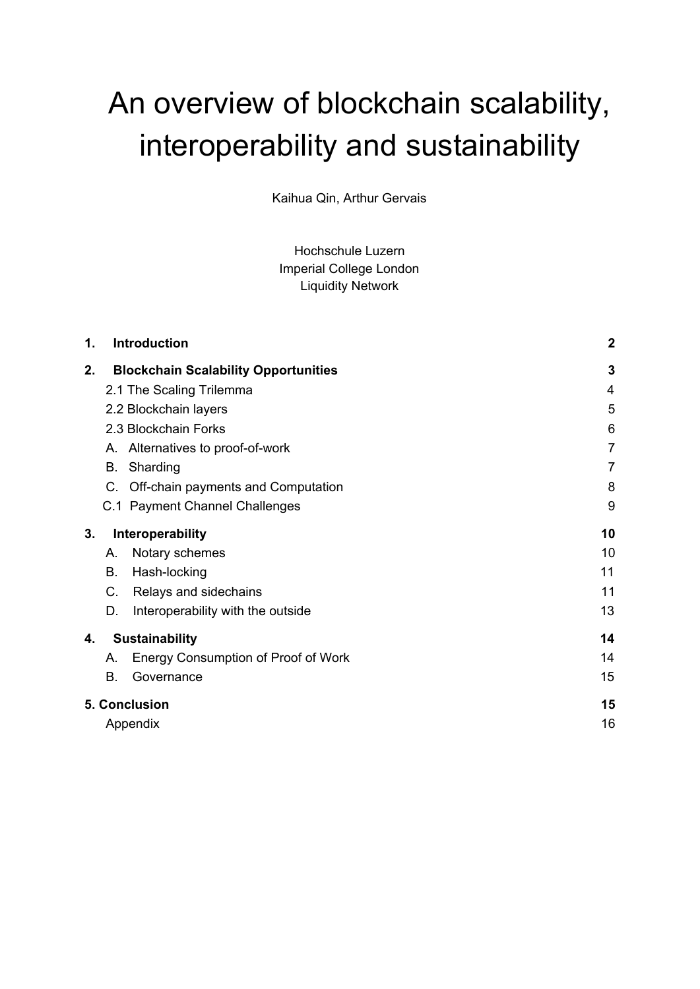# An overview of blockchain scalability, interoperability and sustainability

Kaihua Qin, Arthur Gervais

Hochschule Luzern Imperial College London Liquidity Network

| 1. | <b>Introduction</b>                         | $\boldsymbol{2}$ |
|----|---------------------------------------------|------------------|
| 2. | <b>Blockchain Scalability Opportunities</b> | $\mathbf{3}$     |
|    | 2.1 The Scaling Trilemma                    | 4                |
|    | 2.2 Blockchain layers                       | 5                |
|    | 2.3 Blockchain Forks                        | 6                |
|    | A. Alternatives to proof-of-work            | $\overline{7}$   |
|    | Sharding<br>В.                              | $\overline{7}$   |
|    | C.<br>Off-chain payments and Computation    | 8                |
|    | C.1 Payment Channel Challenges              | 9                |
| 3. | Interoperability                            | 10               |
|    | Notary schemes<br>А.                        | 10               |
|    | В.<br>Hash-locking                          | 11               |
|    | Relays and sidechains<br>C.                 | 11               |
|    | D.<br>Interoperability with the outside     | 13               |
| 4. | <b>Sustainability</b>                       | 14               |
|    | Energy Consumption of Proof of Work<br>А.   | 14               |
|    | <b>B.</b><br>Governance                     | 15               |
|    | 5. Conclusion                               | 15               |
|    | Appendix                                    | 16               |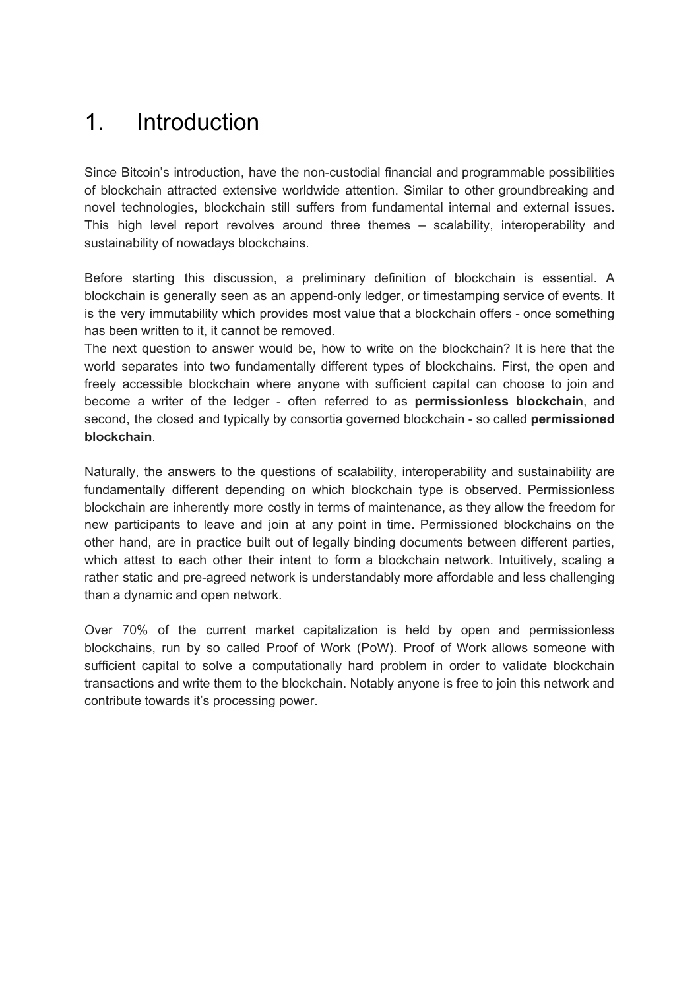### 1. Introduction

Since Bitcoin's introduction, have the non-custodial financial and programmable possibilities of blockchain attracted extensive worldwide attention. Similar to other groundbreaking and novel technologies, blockchain still suffers from fundamental internal and external issues. This high level report revolves around three themes – scalability, interoperability and sustainability of nowadays blockchains.

Before starting this discussion, a preliminary definition of blockchain is essential. A blockchain is generally seen as an append-only ledger, or timestamping service of events. It is the very immutability which provides most value that a blockchain offers - once something has been written to it, it cannot be removed.

The next question to answer would be, how to write on the blockchain? It is here that the world separates into two fundamentally different types of blockchains. First, the open and freely accessible blockchain where anyone with sufficient capital can choose to join and become a writer of the ledger - often referred to as **permissionless blockchain**, and second, the closed and typically by consortia governed blockchain - so called **permissioned blockchain**.

Naturally, the answers to the questions of scalability, interoperability and sustainability are fundamentally different depending on which blockchain type is observed. Permissionless blockchain are inherently more costly in terms of maintenance, as they allow the freedom for new participants to leave and join at any point in time. Permissioned blockchains on the other hand, are in practice built out of legally binding documents between different parties, which attest to each other their intent to form a blockchain network. Intuitively, scaling a rather static and pre-agreed network is understandably more affordable and less challenging than a dynamic and open network.

<span id="page-1-0"></span>Over 70% of the current market capitalization is held by open and permissionless blockchains, run by so called Proof of Work (PoW). Proof of Work allows someone with sufficient capital to solve a computationally hard problem in order to validate blockchain transactions and write them to the blockchain. Notably anyone is free to join this network and contribute towards it's processing power.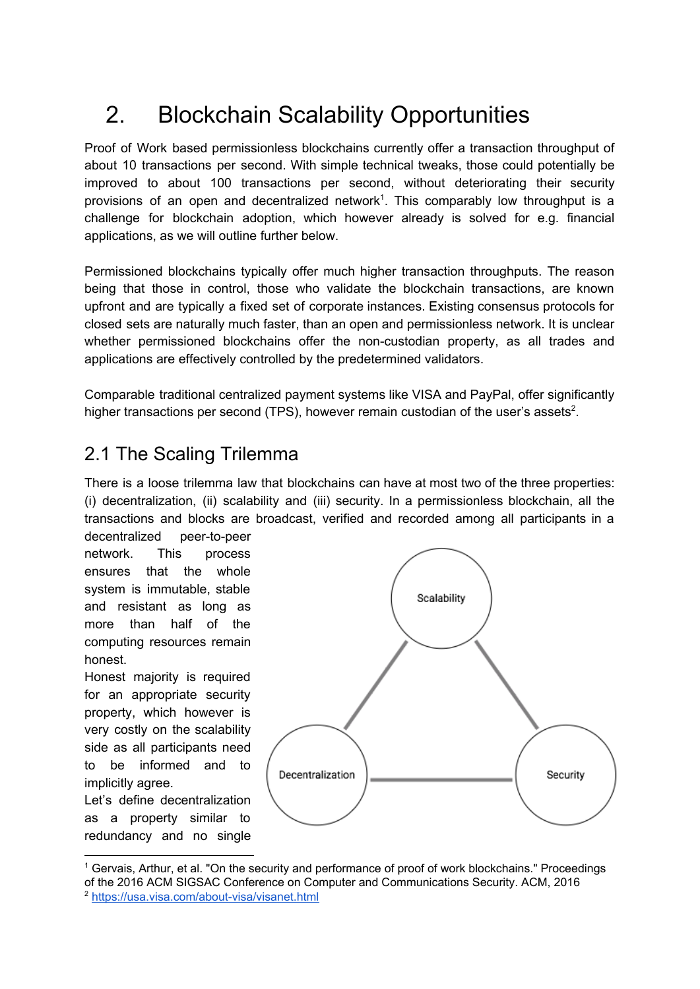# 2. Blockchain Scalability Opportunities

Proof of Work based permissionless blockchains currently offer a transaction throughput of about 10 transactions per second. With simple technical tweaks, those could potentially be improved to about 100 transactions per second, without deteriorating their security provisions of an open and decentralized network<sup>1</sup>. This comparably low throughput is a challenge for blockchain adoption, which however already is solved for e.g. financial applications, as we will outline further below.

Permissioned blockchains typically offer much higher transaction throughputs. The reason being that those in control, those who validate the blockchain transactions, are known upfront and are typically a fixed set of corporate instances. Existing consensus protocols for closed sets are naturally much faster, than an open and permissionless network. It is unclear whether permissioned blockchains offer the non-custodian property, as all trades and applications are effectively controlled by the predetermined validators.

Comparable traditional centralized payment systems like VISA and PayPal, offer significantly higher transactions per second (TPS), however remain custodian of the user's assets<sup>2</sup>.

### <span id="page-2-0"></span>2.1 The Scaling Trilemma

There is a loose trilemma law that blockchains can have at most two of the three properties: (i) decentralization, (ii) scalability and (iii) security. In a permissionless blockchain, all the transactions and blocks are broadcast, verified and recorded among all participants in a

decentralized peer-to-peer network. This process ensures that the whole system is immutable, stable and resistant as long as more than half of the computing resources remain honest.

Honest majority is required for an appropriate security property, which however is very costly on the scalability side as all participants need to be informed and to implicitly agree.

Let's define decentralization as a property similar to redundancy and no single



<sup>1</sup> Gervais, Arthur, et al. "On the security and performance of proof of work blockchains." Proceedings of the 2016 ACM SIGSAC Conference on Computer and Communications Security. ACM, 2016 <sup>2</sup> <https://usa.visa.com/about-visa/visanet.html>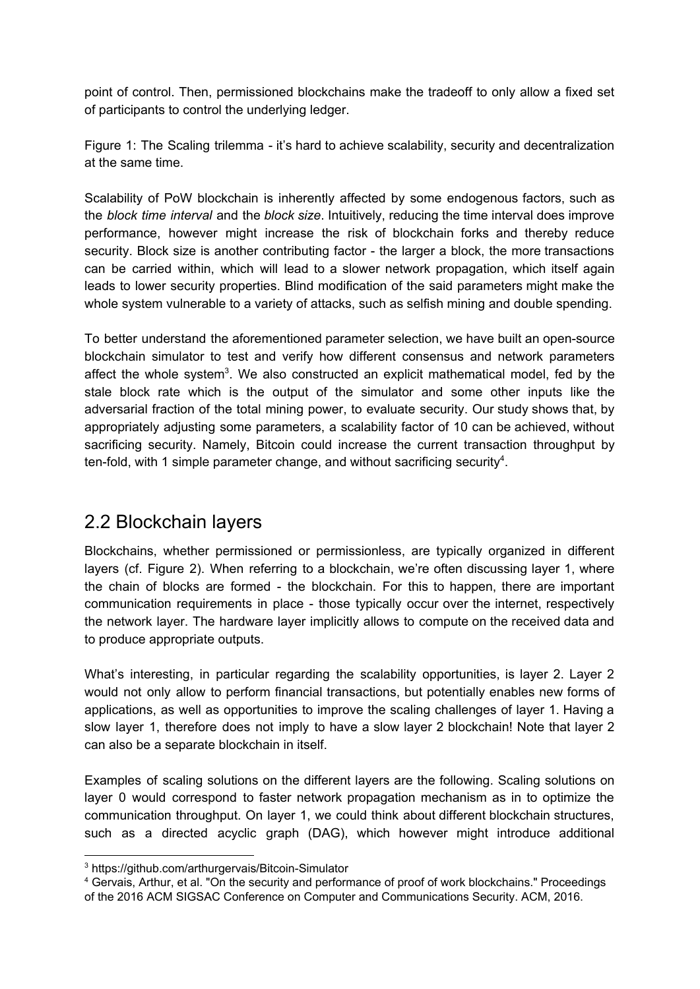point of control. Then, permissioned blockchains make the tradeoff to only allow a fixed set of participants to control the underlying ledger.

Figure 1: The Scaling trilemma - it's hard to achieve scalability, security and decentralization at the same time.

Scalability of PoW blockchain is inherently affected by some endogenous factors, such as the *block time interval* and the *block size*. Intuitively, reducing the time interval does improve performance, however might increase the risk of blockchain forks and thereby reduce security. Block size is another contributing factor - the larger a block, the more transactions can be carried within, which will lead to a slower network propagation, which itself again leads to lower security properties. Blind modification of the said parameters might make the whole system vulnerable to a variety of attacks, such as selfish mining and double spending.

To better understand the aforementioned parameter selection, we have built an open-source blockchain simulator to test and verify how different consensus and network parameters affect the whole system<sup>3</sup>. We also constructed an explicit mathematical model, fed by the stale block rate which is the output of the simulator and some other inputs like the adversarial fraction of the total mining power, to evaluate security. Our study shows that, by appropriately adjusting some parameters, a scalability factor of 10 can be achieved, without sacrificing security. Namely, Bitcoin could increase the current transaction throughput by ten-fold, with 1 simple parameter change, and without sacrificing security<sup>4</sup>.

### <span id="page-3-0"></span>2.2 Blockchain layers

Blockchains, whether permissioned or permissionless, are typically organized in different layers (cf. Figure 2). When referring to a blockchain, we're often discussing layer 1, where the chain of blocks are formed - the blockchain. For this to happen, there are important communication requirements in place - those typically occur over the internet, respectively the network layer. The hardware layer implicitly allows to compute on the received data and to produce appropriate outputs.

What's interesting, in particular regarding the scalability opportunities, is layer 2. Layer 2 would not only allow to perform financial transactions, but potentially enables new forms of applications, as well as opportunities to improve the scaling challenges of layer 1. Having a slow layer 1, therefore does not imply to have a slow layer 2 blockchain! Note that layer 2 can also be a separate blockchain in itself.

Examples of scaling solutions on the different layers are the following. Scaling solutions on layer 0 would correspond to faster network propagation mechanism as in to optimize the communication throughput. On layer 1, we could think about different blockchain structures, such as a directed acyclic graph (DAG), which however might introduce additional

<sup>3</sup> https://github.com/arthurgervais/Bitcoin-Simulator

<sup>4</sup> Gervais, Arthur, et al. "On the security and performance of proof of work blockchains." Proceedings of the 2016 ACM SIGSAC Conference on Computer and Communications Security. ACM, 2016.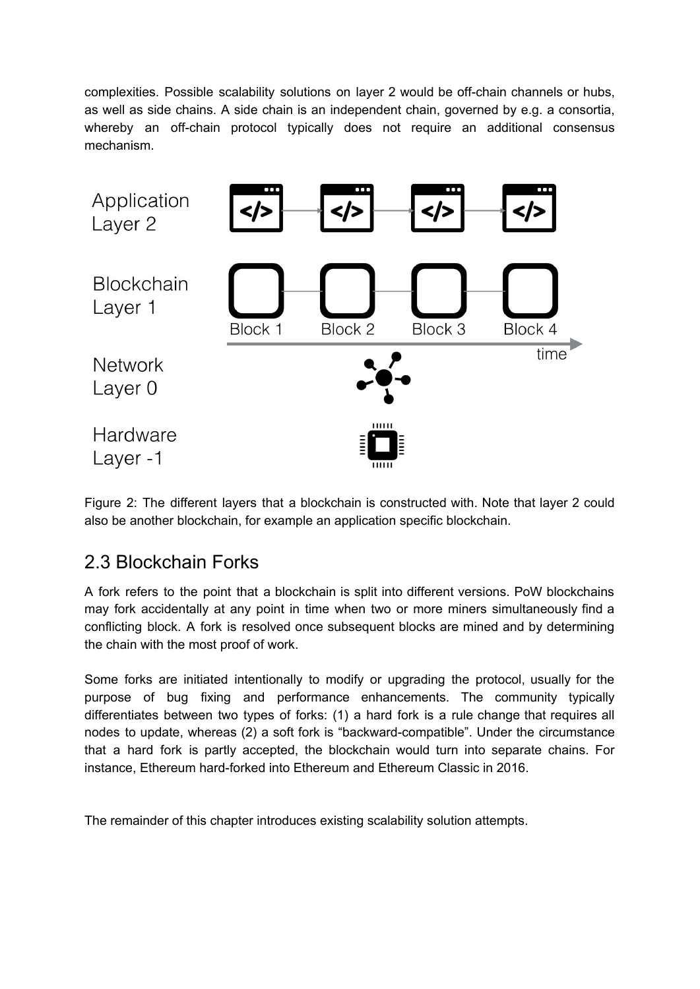complexities. Possible scalability solutions on layer 2 would be off-chain channels or hubs, as well as side chains. A side chain is an independent chain, governed by e.g. a consortia, whereby an off-chain protocol typically does not require an additional consensus mechanism.



Figure 2: The different layers that a blockchain is constructed with. Note that layer 2 could also be another blockchain, for example an application specific blockchain.

### <span id="page-4-0"></span>2.3 Blockchain Forks

A fork refers to the point that a blockchain is split into different versions. PoW blockchains may fork accidentally at any point in time when two or more miners simultaneously find a conflicting block. A fork is resolved once subsequent blocks are mined and by determining the chain with the most proof of work.

Some forks are initiated intentionally to modify or upgrading the protocol, usually for the purpose of bug fixing and performance enhancements. The community typically differentiates between two types of forks: (1) a hard fork is a rule change that requires all nodes to update, whereas (2) a soft fork is "backward-compatible". Under the circumstance that a hard fork is partly accepted, the blockchain would turn into separate chains. For instance, Ethereum hard-forked into Ethereum and Ethereum Classic in 2016.

<span id="page-4-1"></span>The remainder of this chapter introduces existing scalability solution attempts.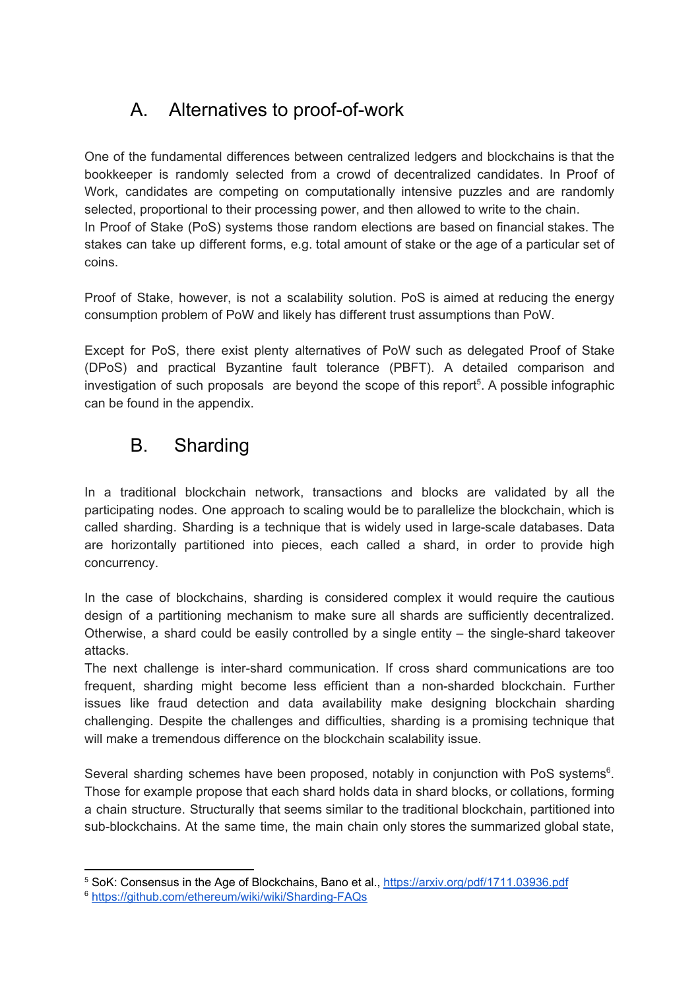### A. Alternatives to proof-of-work

One of the fundamental differences between centralized ledgers and blockchains is that the bookkeeper is randomly selected from a crowd of decentralized candidates. In Proof of Work, candidates are competing on computationally intensive puzzles and are randomly selected, proportional to their processing power, and then allowed to write to the chain. In Proof of Stake (PoS) systems those random elections are based on financial stakes. The stakes can take up different forms, e.g. total amount of stake or the age of a particular set of coins.

Proof of Stake, however, is not a scalability solution. PoS is aimed at reducing the energy consumption problem of PoW and likely has different trust assumptions than PoW.

Except for PoS, there exist plenty alternatives of PoW such as delegated Proof of Stake (DPoS) and practical Byzantine fault tolerance (PBFT). A detailed comparison and investigation of such proposals are beyond the scope of this report $5$ . A possible infographic can be found in the appendix.

### <span id="page-5-0"></span>B. Sharding

In a traditional blockchain network, transactions and blocks are validated by all the participating nodes. One approach to scaling would be to parallelize the blockchain, which is called sharding. Sharding is a technique that is widely used in large-scale databases. Data are horizontally partitioned into pieces, each called a shard, in order to provide high concurrency.

In the case of blockchains, sharding is considered complex it would require the cautious design of a partitioning mechanism to make sure all shards are sufficiently decentralized. Otherwise, a shard could be easily controlled by a single entity – the single-shard takeover attacks.

The next challenge is inter-shard communication. If cross shard communications are too frequent, sharding might become less efficient than a non-sharded blockchain. Further issues like fraud detection and data availability make designing blockchain sharding challenging. Despite the challenges and difficulties, sharding is a promising technique that will make a tremendous difference on the blockchain scalability issue.

Several sharding schemes have been proposed, notably in conjunction with PoS systems $6$ . Those for example propose that each shard holds data in shard blocks, or collations, forming a chain structure. Structurally that seems similar to the traditional blockchain, partitioned into sub-blockchains. At the same time, the main chain only stores the summarized global state,

<sup>5</sup> SoK: Consensus in the Age of Blockchains, Bano et al., <https://arxiv.org/pdf/1711.03936.pdf>

<sup>6</sup> <https://github.com/ethereum/wiki/wiki/Sharding-FAQs>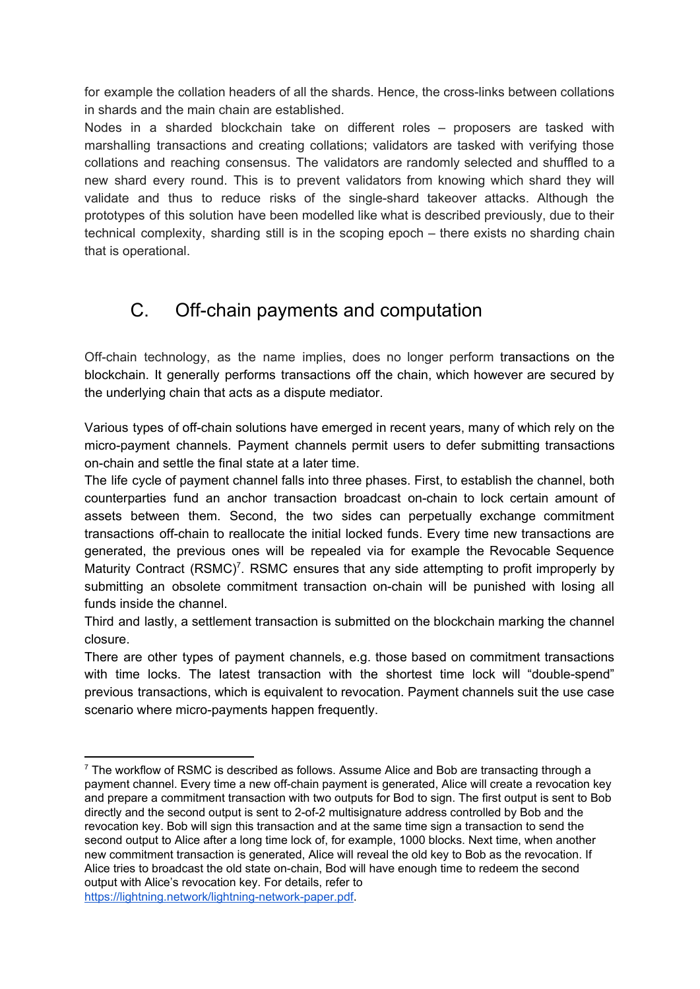for example the collation headers of all the shards. Hence, the cross-links between collations in shards and the main chain are established.

Nodes in a sharded blockchain take on different roles – proposers are tasked with marshalling transactions and creating collations; validators are tasked with verifying those collations and reaching consensus. The validators are randomly selected and shuffled to a new shard every round. This is to prevent validators from knowing which shard they will validate and thus to reduce risks of the single-shard takeover attacks. Although the prototypes of this solution have been modelled like what is described previously, due to their technical complexity, sharding still is in the scoping epoch – there exists no sharding chain that is operational.

### <span id="page-6-0"></span>C. Off-chain payments and computation

Off-chain technology, as the name implies, does no longer perform transactions on the blockchain. It generally performs transactions off the chain, which however are secured by the underlying chain that acts as a dispute mediator.

Various types of off-chain solutions have emerged in recent years, many of which rely on the micro-payment channels. Payment channels permit users to defer submitting transactions on-chain and settle the final state at a later time.

The life cycle of payment channel falls into three phases. First, to establish the channel, both counterparties fund an anchor transaction broadcast on-chain to lock certain amount of assets between them. Second, the two sides can perpetually exchange commitment transactions off-chain to reallocate the initial locked funds. Every time new transactions are generated, the previous ones will be repealed via for example the Revocable Sequence Maturity Contract (RSMC)<sup>7</sup>. RSMC ensures that any side attempting to profit improperly by submitting an obsolete commitment transaction on-chain will be punished with losing all funds inside the channel.

Third and lastly, a settlement transaction is submitted on the blockchain marking the channel closure.

There are other types of payment channels, e.g. those based on commitment transactions with time locks. The latest transaction with the shortest time lock will "double-spend" previous transactions, which is equivalent to revocation. Payment channels suit the use case scenario where micro-payments happen frequently.

 $\frac{7}{1}$  The workflow of RSMC is described as follows. Assume Alice and Bob are transacting through a payment channel. Every time a new off-chain payment is generated, Alice will create a revocation key and prepare a commitment transaction with two outputs for Bod to sign. The first output is sent to Bob directly and the second output is sent to 2-of-2 multisignature address controlled by Bob and the revocation key. Bob will sign this transaction and at the same time sign a transaction to send the second output to Alice after a long time lock of, for example, 1000 blocks. Next time, when another new commitment transaction is generated, Alice will reveal the old key to Bob as the revocation. If Alice tries to broadcast the old state on-chain, Bod will have enough time to redeem the second output with Alice's revocation key. For details, refer to <https://lightning.network/lightning-network-paper.pdf>.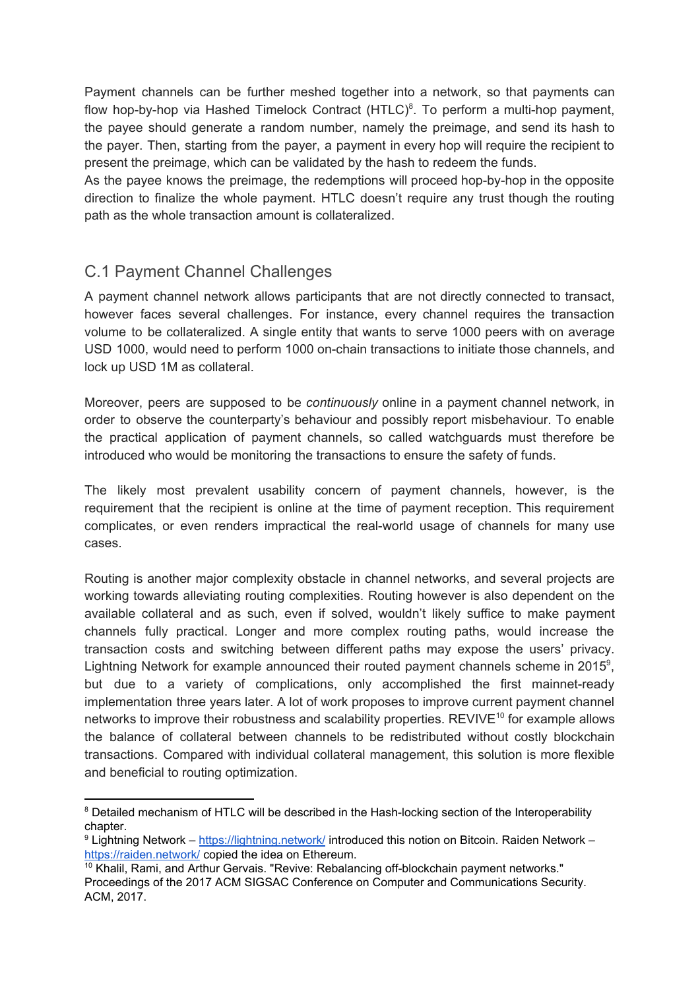Payment channels can be further meshed together into a network, so that payments can flow hop-by-hop via Hashed Timelock Contract  $(HTLC)^8$ . To perform a multi-hop payment, the payee should generate a random number, namely the preimage, and send its hash to the payer. Then, starting from the payer, a payment in every hop will require the recipient to present the preimage, which can be validated by the hash to redeem the funds.

As the payee knows the preimage, the redemptions will proceed hop-by-hop in the opposite direction to finalize the whole payment. HTLC doesn't require any trust though the routing path as the whole transaction amount is collateralized.

#### <span id="page-7-0"></span>C.1 Payment Channel Challenges

A payment channel network allows participants that are not directly connected to transact, however faces several challenges. For instance, every channel requires the transaction volume to be collateralized. A single entity that wants to serve 1000 peers with on average USD 1000, would need to perform 1000 on-chain transactions to initiate those channels, and lock up USD 1M as collateral.

Moreover, peers are supposed to be *continuously* online in a payment channel network, in order to observe the counterparty's behaviour and possibly report misbehaviour. To enable the practical application of payment channels, so called watchguards must therefore be introduced who would be monitoring the transactions to ensure the safety of funds.

The likely most prevalent usability concern of payment channels, however, is the requirement that the recipient is online at the time of payment reception. This requirement complicates, or even renders impractical the real-world usage of channels for many use cases.

Routing is another major complexity obstacle in channel networks, and several projects are working towards alleviating routing complexities. Routing however is also dependent on the available collateral and as such, even if solved, wouldn't likely suffice to make payment channels fully practical. Longer and more complex routing paths, would increase the transaction costs and switching between different paths may expose the users' privacy. Lightning Network for example announced their routed payment channels scheme in 2015 $^{\circ}$ , but due to a variety of complications, only accomplished the first mainnet-ready implementation three years later. A lot of work proposes to improve current payment channel networks to improve their robustness and scalability properties. REVIVE $^{10}$  for example allows the balance of collateral between channels to be redistributed without costly blockchain transactions. Compared with individual collateral management, this solution is more flexible and beneficial to routing optimization.

<sup>&</sup>lt;sup>8</sup> Detailed mechanism of HTLC will be described in the Hash-locking section of the Interoperability chapter.

<sup>9</sup> Lightning Network – <https://lightning.network/> introduced this notion on Bitcoin. Raiden Network – <https://raiden.network/> copied the idea on Ethereum.

 $10$  Khalil, Rami, and Arthur Gervais. "Revive: Rebalancing off-blockchain payment networks." Proceedings of the 2017 ACM SIGSAC Conference on Computer and Communications Security. ACM, 2017.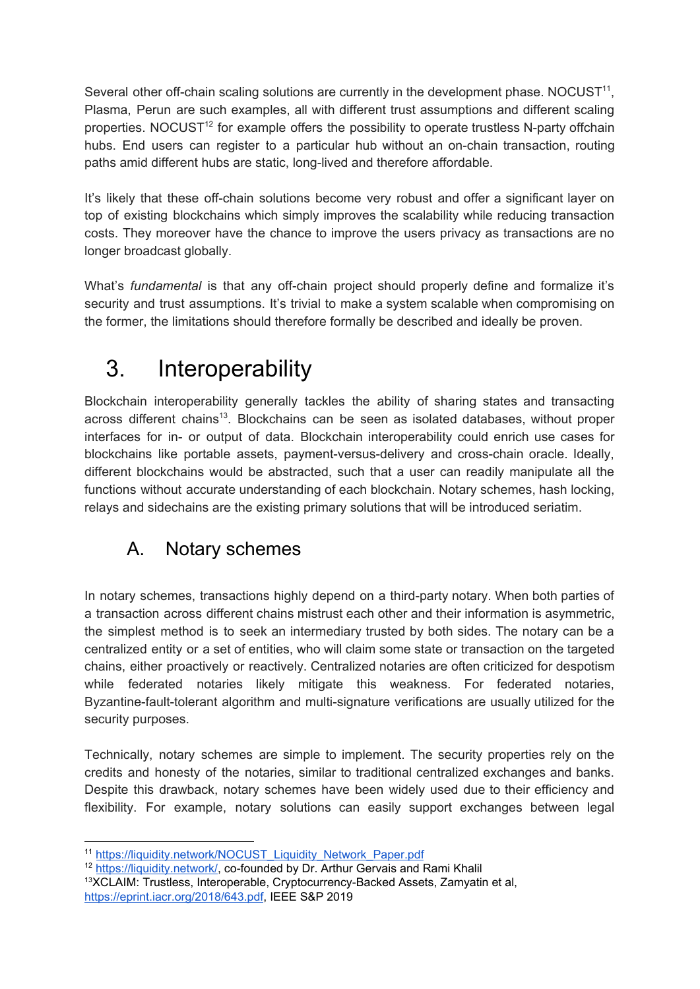Several other off-chain scaling solutions are currently in the development phase. NOCUST $11$ , Plasma, Perun are such examples, all with different trust assumptions and different scaling properties. NOCUST<sup>12</sup> for example offers the possibility to operate trustless N-party offchain hubs. End users can register to a particular hub without an on-chain transaction, routing paths amid different hubs are static, long-lived and therefore affordable.

It's likely that these off-chain solutions become very robust and offer a significant layer on top of existing blockchains which simply improves the scalability while reducing transaction costs. They moreover have the chance to improve the users privacy as transactions are no longer broadcast globally.

What's *fundamental* is that any off-chain project should properly define and formalize it's security and trust assumptions. It's trivial to make a system scalable when compromising on the former, the limitations should therefore formally be described and ideally be proven.

# <span id="page-8-0"></span>3. Interoperability

Blockchain interoperability generally tackles the ability of sharing states and transacting across different chains<sup>13</sup>. Blockchains can be seen as isolated databases, without proper interfaces for in- or output of data. Blockchain interoperability could enrich use cases for blockchains like portable assets, payment-versus-delivery and cross-chain oracle. Ideally, different blockchains would be abstracted, such that a user can readily manipulate all the functions without accurate understanding of each blockchain. Notary schemes, hash locking, relays and sidechains are the existing primary solutions that will be introduced seriatim.

### <span id="page-8-1"></span>A. Notary schemes

In notary schemes, transactions highly depend on a third-party notary. When both parties of a transaction across different chains mistrust each other and their information is asymmetric, the simplest method is to seek an intermediary trusted by both sides. The notary can be a centralized entity or a set of entities, who will claim some state or transaction on the targeted chains, either proactively or reactively. Centralized notaries are often criticized for despotism while federated notaries likely mitigate this weakness. For federated notaries, Byzantine-fault-tolerant algorithm and multi-signature verifications are usually utilized for the security purposes.

Technically, notary schemes are simple to implement. The security properties rely on the credits and honesty of the notaries, similar to traditional centralized exchanges and banks. Despite this drawback, notary schemes have been widely used due to their efficiency and flexibility. For example, notary solutions can easily support exchanges between legal

<sup>&</sup>lt;sup>11</sup> [https://liquidity.network/NOCUST\\_Liquidity\\_Network\\_Paper.pdf](https://liquidity.network/NOCUST_Liquidity_Network_Paper.pdf)

<sup>&</sup>lt;sup>12</sup> <https://liquidity.network/>, co-founded by Dr. Arthur Gervais and Rami Khalil

<sup>&</sup>lt;sup>13</sup>XCLAIM: Trustless, Interoperable, Cryptocurrency-Backed Assets, Zamyatin et al,

<https://eprint.iacr.org/2018/643.pdf>, IEEE S&P 2019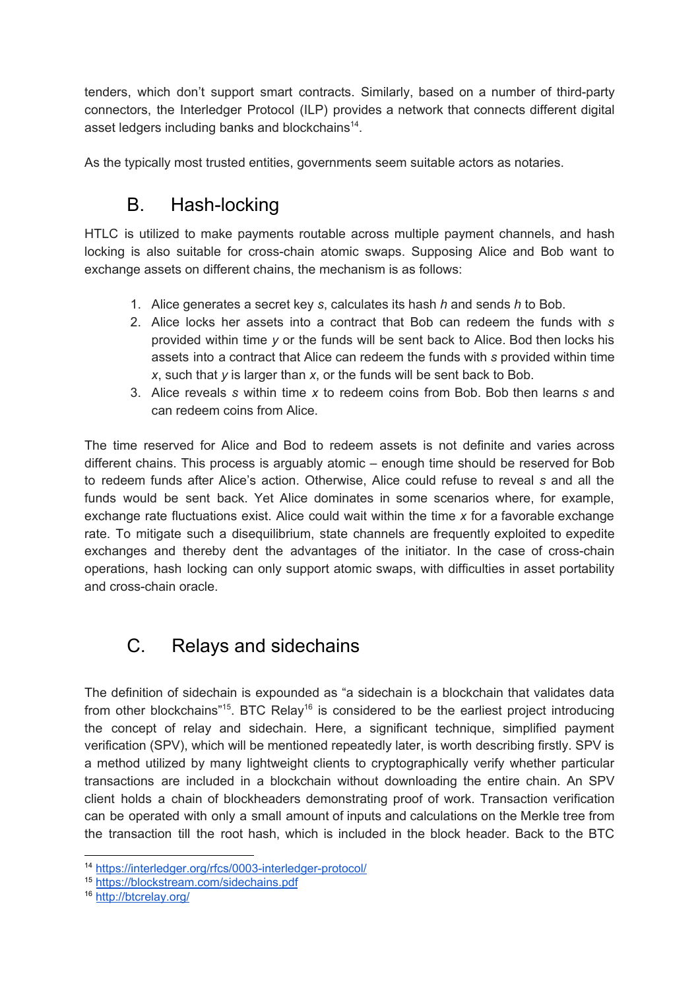tenders, which don't support smart contracts. Similarly, based on a number of third-party connectors, the Interledger Protocol (ILP) provides a network that connects different digital asset ledgers including banks and blockchains $^{14}$ .

<span id="page-9-0"></span>As the typically most trusted entities, governments seem suitable actors as notaries.

### B. Hash-locking

HTLC is utilized to make payments routable across multiple payment channels, and hash locking is also suitable for cross-chain atomic swaps. Supposing Alice and Bob want to exchange assets on different chains, the mechanism is as follows:

- 1. Alice generates a secret key *s*, calculates its hash *h* and sends *h* to Bob.
- 2. Alice locks her assets into a contract that Bob can redeem the funds with *s* provided within time *y* or the funds will be sent back to Alice. Bod then locks his assets into a contract that Alice can redeem the funds with *s* provided within time *x*, such that *y* is larger than *x*, or the funds will be sent back to Bob.
- 3. Alice reveals *s* within time *x* to redeem coins from Bob. Bob then learns *s* and can redeem coins from Alice.

The time reserved for Alice and Bod to redeem assets is not definite and varies across different chains. This process is arguably atomic – enough time should be reserved for Bob to redeem funds after Alice's action. Otherwise, Alice could refuse to reveal *s* and all the funds would be sent back. Yet Alice dominates in some scenarios where, for example, exchange rate fluctuations exist. Alice could wait within the time *x* for a favorable exchange rate. To mitigate such a disequilibrium, state channels are frequently exploited to expedite exchanges and thereby dent the advantages of the initiator. In the case of cross-chain operations, hash locking can only support atomic swaps, with difficulties in asset portability and cross-chain oracle.

### <span id="page-9-1"></span>C. Relays and sidechains

The definition of sidechain is expounded as "a sidechain is a blockchain that validates data from other blockchains"<sup>15</sup>. BTC Relay<sup>16</sup> is considered to be the earliest project introducing the concept of relay and sidechain. Here, a significant technique, simplified payment verification (SPV), which will be mentioned repeatedly later, is worth describing firstly. SPV is a method utilized by many lightweight clients to cryptographically verify whether particular transactions are included in a blockchain without downloading the entire chain. An SPV client holds a chain of blockheaders demonstrating proof of work. Transaction verification can be operated with only a small amount of inputs and calculations on the Merkle tree from the transaction till the root hash, which is included in the block header. Back to the BTC

<sup>14</sup> <https://interledger.org/rfcs/0003-interledger-protocol/>

<sup>15</sup> <https://blockstream.com/sidechains.pdf>

<sup>16</sup> <http://btcrelay.org/>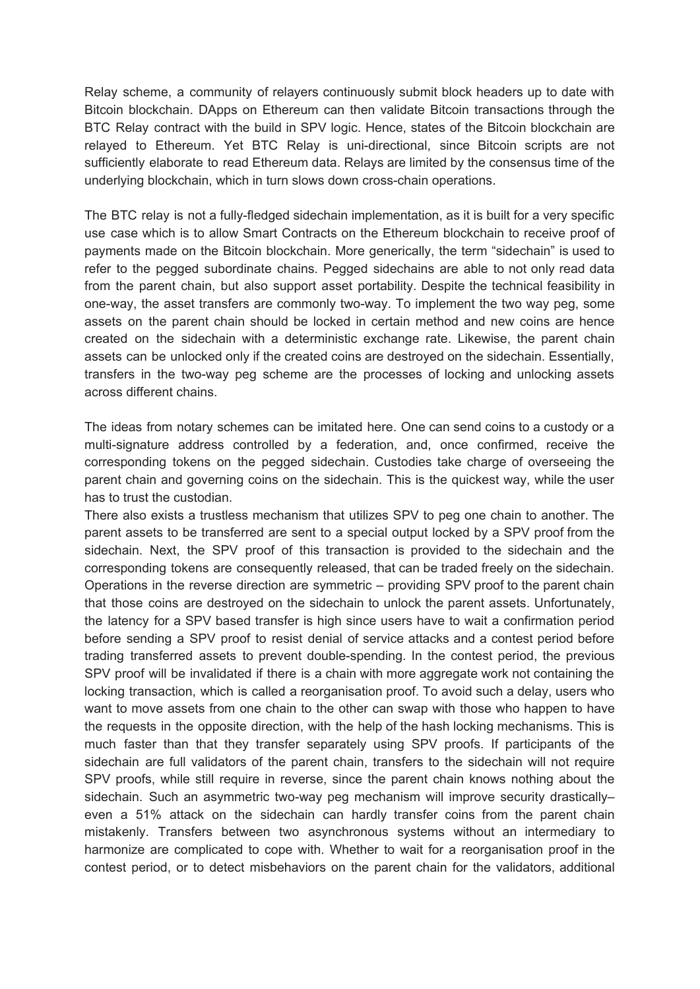Relay scheme, a community of relayers continuously submit block headers up to date with Bitcoin blockchain. DApps on Ethereum can then validate Bitcoin transactions through the BTC Relay contract with the build in SPV logic. Hence, states of the Bitcoin blockchain are relayed to Ethereum. Yet BTC Relay is uni-directional, since Bitcoin scripts are not sufficiently elaborate to read Ethereum data. Relays are limited by the consensus time of the underlying blockchain, which in turn slows down cross-chain operations.

The BTC relay is not a fully-fledged sidechain implementation, as it is built for a very specific use case which is to allow Smart Contracts on the Ethereum blockchain to receive proof of payments made on the Bitcoin blockchain. More generically, the term "sidechain" is used to refer to the pegged subordinate chains. Pegged sidechains are able to not only read data from the parent chain, but also support asset portability. Despite the technical feasibility in one-way, the asset transfers are commonly two-way. To implement the two way peg, some assets on the parent chain should be locked in certain method and new coins are hence created on the sidechain with a deterministic exchange rate. Likewise, the parent chain assets can be unlocked only if the created coins are destroyed on the sidechain. Essentially, transfers in the two-way peg scheme are the processes of locking and unlocking assets across different chains.

The ideas from notary schemes can be imitated here. One can send coins to a custody or a multi-signature address controlled by a federation, and, once confirmed, receive the corresponding tokens on the pegged sidechain. Custodies take charge of overseeing the parent chain and governing coins on the sidechain. This is the quickest way, while the user has to trust the custodian.

There also exists a trustless mechanism that utilizes SPV to peg one chain to another. The parent assets to be transferred are sent to a special output locked by a SPV proof from the sidechain. Next, the SPV proof of this transaction is provided to the sidechain and the corresponding tokens are consequently released, that can be traded freely on the sidechain. Operations in the reverse direction are symmetric – providing SPV proof to the parent chain that those coins are destroyed on the sidechain to unlock the parent assets. Unfortunately, the latency for a SPV based transfer is high since users have to wait a confirmation period before sending a SPV proof to resist denial of service attacks and a contest period before trading transferred assets to prevent double-spending. In the contest period, the previous SPV proof will be invalidated if there is a chain with more aggregate work not containing the locking transaction, which is called a reorganisation proof. To avoid such a delay, users who want to move assets from one chain to the other can swap with those who happen to have the requests in the opposite direction, with the help of the hash locking mechanisms. This is much faster than that they transfer separately using SPV proofs. If participants of the sidechain are full validators of the parent chain, transfers to the sidechain will not require SPV proofs, while still require in reverse, since the parent chain knows nothing about the sidechain. Such an asymmetric two-way peg mechanism will improve security drasticallyeven a 51% attack on the sidechain can hardly transfer coins from the parent chain mistakenly. Transfers between two asynchronous systems without an intermediary to harmonize are complicated to cope with. Whether to wait for a reorganisation proof in the contest period, or to detect misbehaviors on the parent chain for the validators, additional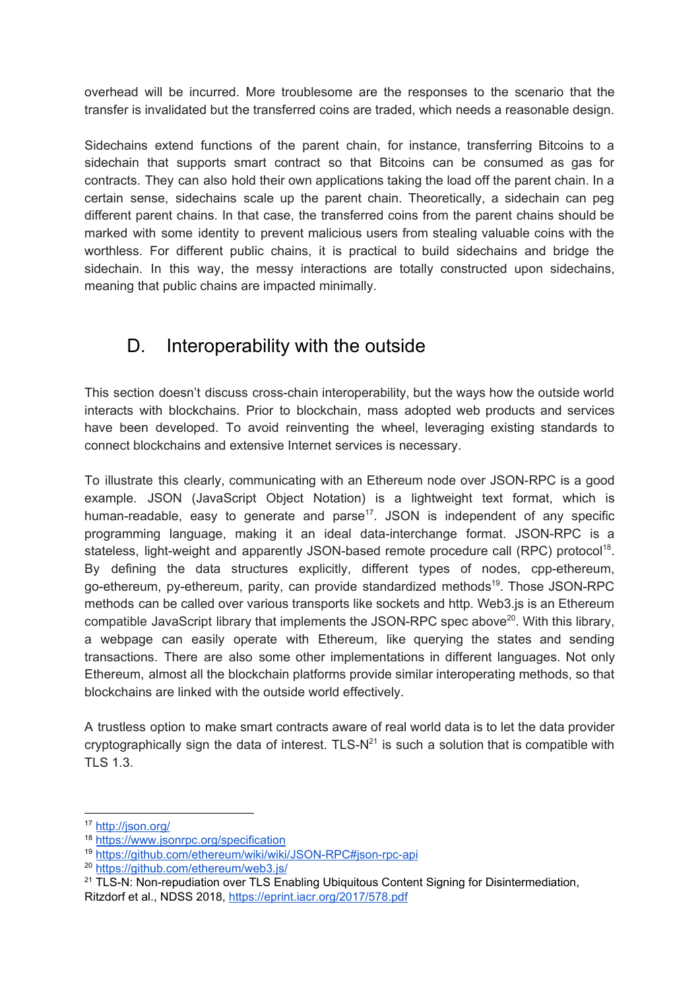overhead will be incurred. More troublesome are the responses to the scenario that the transfer is invalidated but the transferred coins are traded, which needs a reasonable design.

Sidechains extend functions of the parent chain, for instance, transferring Bitcoins to a sidechain that supports smart contract so that Bitcoins can be consumed as gas for contracts. They can also hold their own applications taking the load off the parent chain. In a certain sense, sidechains scale up the parent chain. Theoretically, a sidechain can peg different parent chains. In that case, the transferred coins from the parent chains should be marked with some identity to prevent malicious users from stealing valuable coins with the worthless. For different public chains, it is practical to build sidechains and bridge the sidechain. In this way, the messy interactions are totally constructed upon sidechains, meaning that public chains are impacted minimally.

### <span id="page-11-0"></span>D. Interoperability with the outside

This section doesn't discuss cross-chain interoperability, but the ways how the outside world interacts with blockchains. Prior to blockchain, mass adopted web products and services have been developed. To avoid reinventing the wheel, leveraging existing standards to connect blockchains and extensive Internet services is necessary.

To illustrate this clearly, communicating with an Ethereum node over JSON-RPC is a good example. JSON (JavaScript Object Notation) is a lightweight text format, which is human-readable, easy to generate and parse<sup>17</sup>. JSON is independent of any specific programming language, making it an ideal data-interchange format. JSON-RPC is a stateless, light-weight and apparently JSON-based remote procedure call (RPC) protocol<sup>18</sup>. By defining the data structures explicitly, different types of nodes, cpp-ethereum, go-ethereum, py-ethereum, parity, can provide standardized methods<sup>19</sup>. Those JSON-RPC methods can be called over various transports like sockets and http. Web3.js is an Ethereum compatible JavaScript library that implements the JSON-RPC spec above<sup>20</sup>. With this library, a webpage can easily operate with Ethereum, like querying the states and sending transactions. There are also some other implementations in different languages. Not only Ethereum, almost all the blockchain platforms provide similar interoperating methods, so that blockchains are linked with the outside world effectively.

A trustless option to make smart contracts aware of real world data is to let the data provider cryptographically sign the data of interest. TLS- $N^{21}$  is such a solution that is compatible with TLS 1.3.

<sup>17</sup> <http://json.org/>

<sup>18</sup> <https://www.jsonrpc.org/specification>

<sup>19</sup> <https://github.com/ethereum/wiki/wiki/JSON-RPC#json-rpc-api>

<sup>20</sup> <https://github.com/ethereum/web3.js/>

<sup>&</sup>lt;sup>21</sup> TLS-N: Non-repudiation over TLS Enabling Ubiquitous Content Signing for Disintermediation, Ritzdorf et al., NDSS 2018, <https://eprint.iacr.org/2017/578.pdf>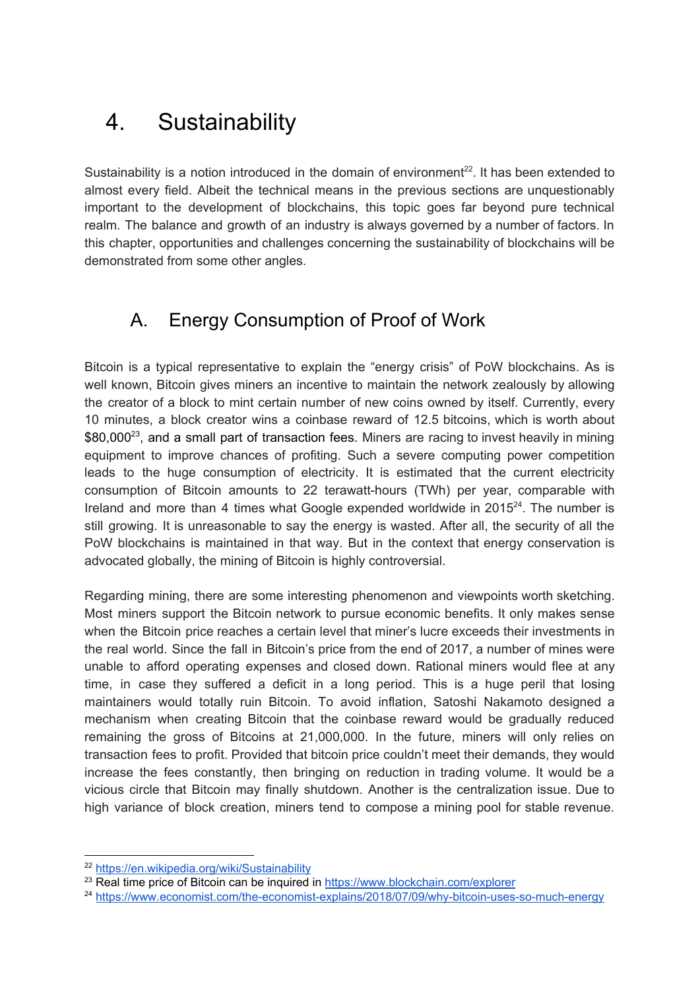# <span id="page-12-0"></span>4. Sustainability

Sustainability is a notion introduced in the domain of environment $^{22}$ . It has been extended to almost every field. Albeit the technical means in the previous sections are unquestionably important to the development of blockchains, this topic goes far beyond pure technical realm. The balance and growth of an industry is always governed by a number of factors. In this chapter, opportunities and challenges concerning the sustainability of blockchains will be demonstrated from some other angles.

### <span id="page-12-1"></span>A. Energy Consumption of Proof of Work

Bitcoin is a typical representative to explain the "energy crisis" of PoW blockchains. As is well known, Bitcoin gives miners an incentive to maintain the network zealously by allowing the creator of a block to mint certain number of new coins owned by itself. Currently, every 10 minutes, a block creator wins a coinbase reward of 12.5 bitcoins, which is worth about  $$80,000^{23}$ , and a small part of transaction fees. Miners are racing to invest heavily in mining equipment to improve chances of profiting. Such a severe computing power competition leads to the huge consumption of electricity. It is estimated that the current electricity consumption of Bitcoin amounts to 22 terawatt-hours (TWh) per year, comparable with Ireland and more than 4 times what Google expended worldwide in  $2015<sup>24</sup>$ . The number is still growing. It is unreasonable to say the energy is wasted. After all, the security of all the PoW blockchains is maintained in that way. But in the context that energy conservation is advocated globally, the mining of Bitcoin is highly controversial.

Regarding mining, there are some interesting phenomenon and viewpoints worth sketching. Most miners support the Bitcoin network to pursue economic benefits. It only makes sense when the Bitcoin price reaches a certain level that miner's lucre exceeds their investments in the real world. Since the fall in Bitcoin's price from the end of 2017, a number of mines were unable to afford operating expenses and closed down. Rational miners would flee at any time, in case they suffered a deficit in a long period. This is a huge peril that losing maintainers would totally ruin Bitcoin. To avoid inflation, Satoshi Nakamoto designed a mechanism when creating Bitcoin that the coinbase reward would be gradually reduced remaining the gross of Bitcoins at 21,000,000. In the future, miners will only relies on transaction fees to profit. Provided that bitcoin price couldn't meet their demands, they would increase the fees constantly, then bringing on reduction in trading volume. It would be a vicious circle that Bitcoin may finally shutdown. Another is the centralization issue. Due to high variance of block creation, miners tend to compose a mining pool for stable revenue.

<sup>22</sup> <https://en.wikipedia.org/wiki/Sustainability>

<sup>&</sup>lt;sup>23</sup> Real time price of Bitcoin can be inquired in <https://www.blockchain.com/explorer>

<sup>24</sup> <https://www.economist.com/the-economist-explains/2018/07/09/why-bitcoin-uses-so-much-energy>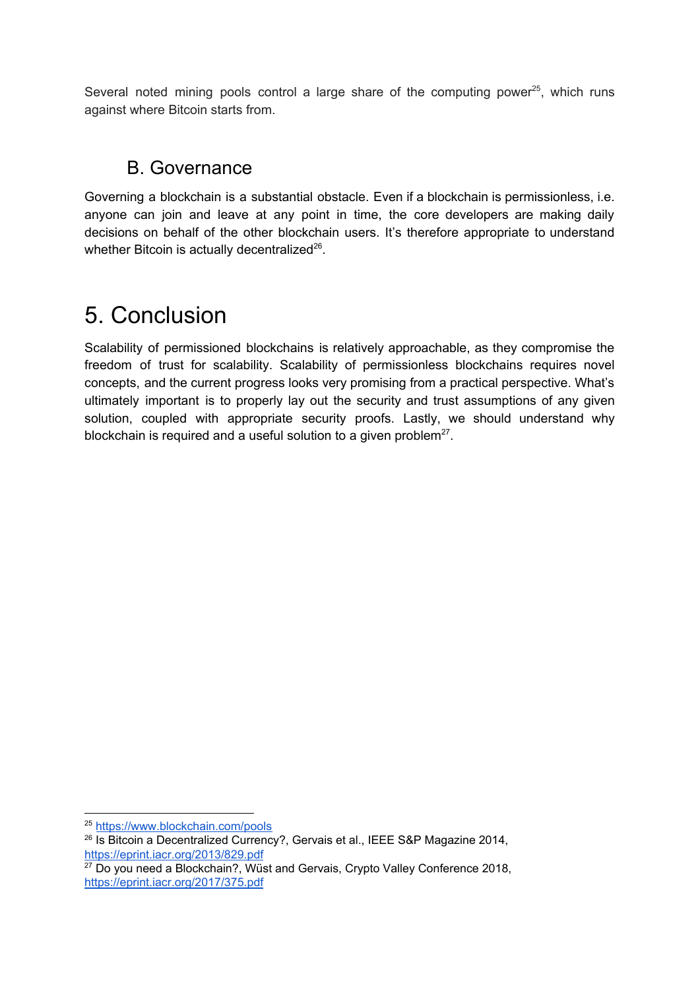Several noted mining pools control a large share of the computing power $^{25}$ , which runs against where Bitcoin starts from.

### <span id="page-13-0"></span>B. Governance

Governing a blockchain is a substantial obstacle. Even if a blockchain is permissionless, i.e. anyone can join and leave at any point in time, the core developers are making daily decisions on behalf of the other blockchain users. It's therefore appropriate to understand whether Bitcoin is actually decentralized $^{26}$ .

# <span id="page-13-1"></span>5. Conclusion

Scalability of permissioned blockchains is relatively approachable, as they compromise the freedom of trust for scalability. Scalability of permissionless blockchains requires novel concepts, and the current progress looks very promising from a practical perspective. What's ultimately important is to properly lay out the security and trust assumptions of any given solution, coupled with appropriate security proofs. Lastly, we should understand why blockchain is required and a useful solution to a given problem $27$ .

<sup>25</sup> <https://www.blockchain.com/pools>

<sup>&</sup>lt;sup>26</sup> Is Bitcoin a Decentralized Currency?, Gervais et al., IEEE S&P Magazine 2014, <https://eprint.iacr.org/2013/829.pdf>

 $27$  Do you need a Blockchain?, Wüst and Gervais, Crypto Valley Conference 2018, <https://eprint.iacr.org/2017/375.pdf>